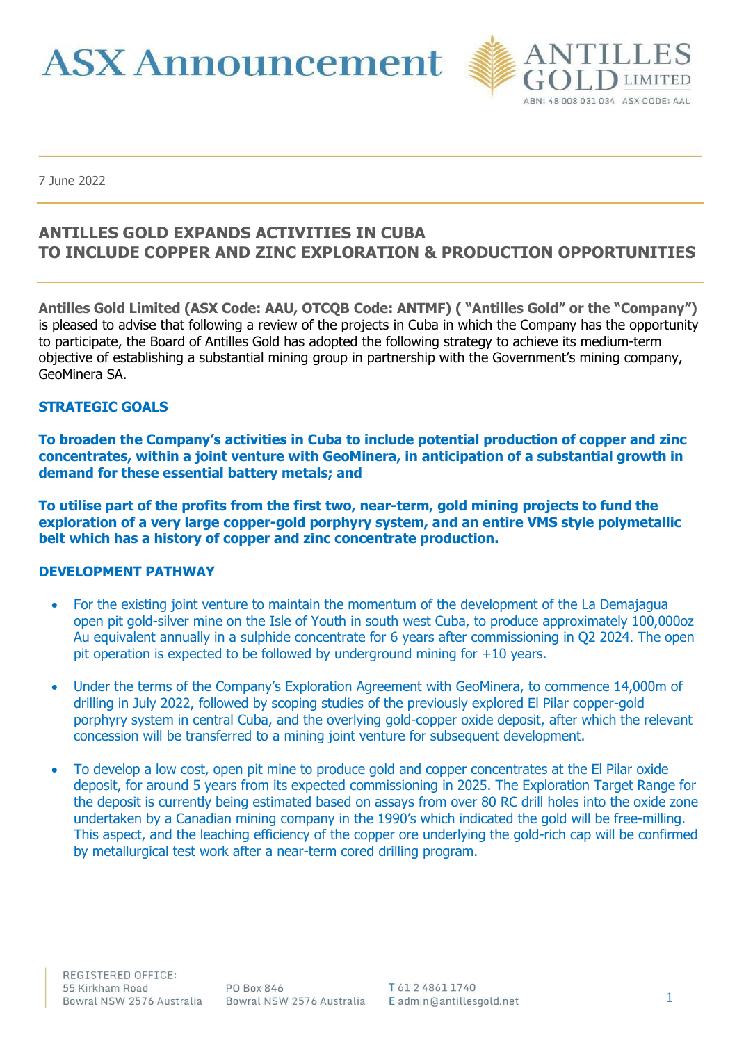**ASX Announcement** 



7 June 2022

# **ANTILLES GOLD EXPANDS ACTIVITIES IN CUBA TO INCLUDE COPPER AND ZINC EXPLORATION & PRODUCTION OPPORTUNITIES**

**Antilles Gold Limited (ASX Code: AAU, OTCQB Code: ANTMF) ( "Antilles Gold" or the "Company")** is pleased to advise that following a review of the projects in Cuba in which the Company has the opportunity to participate, the Board of Antilles Gold has adopted the following strategy to achieve its medium-term objective of establishing a substantial mining group in partnership with the Government's mining company, GeoMinera SA.

#### **STRATEGIC GOALS**

**To broaden the Company's activities in Cuba to include potential production of copper and zinc concentrates, within a joint venture with GeoMinera, in anticipation of a substantial growth in demand for these essential battery metals; and**

**To utilise part of the profits from the first two, near-term, gold mining projects to fund the exploration of a very large copper-gold porphyry system, and an entire VMS style polymetallic belt which has a history of copper and zinc concentrate production.**

#### **DEVELOPMENT PATHWAY**

- For the existing joint venture to maintain the momentum of the development of the La Demajagua open pit gold-silver mine on the Isle of Youth in south west Cuba, to produce approximately 100,000oz Au equivalent annually in a sulphide concentrate for 6 years after commissioning in Q2 2024. The open pit operation is expected to be followed by underground mining for +10 years.
- Under the terms of the Company's Exploration Agreement with GeoMinera, to commence 14,000m of drilling in July 2022, followed by scoping studies of the previously explored El Pilar copper-gold porphyry system in central Cuba, and the overlying gold-copper oxide deposit, after which the relevant concession will be transferred to a mining joint venture for subsequent development.
- To develop a low cost, open pit mine to produce gold and copper concentrates at the El Pilar oxide deposit, for around 5 years from its expected commissioning in 2025. The Exploration Target Range for the deposit is currently being estimated based on assays from over 80 RC drill holes into the oxide zone undertaken by a Canadian mining company in the 1990's which indicated the gold will be free-milling. This aspect, and the leaching efficiency of the copper ore underlying the gold-rich cap will be confirmed by metallurgical test work after a near-term cored drilling program.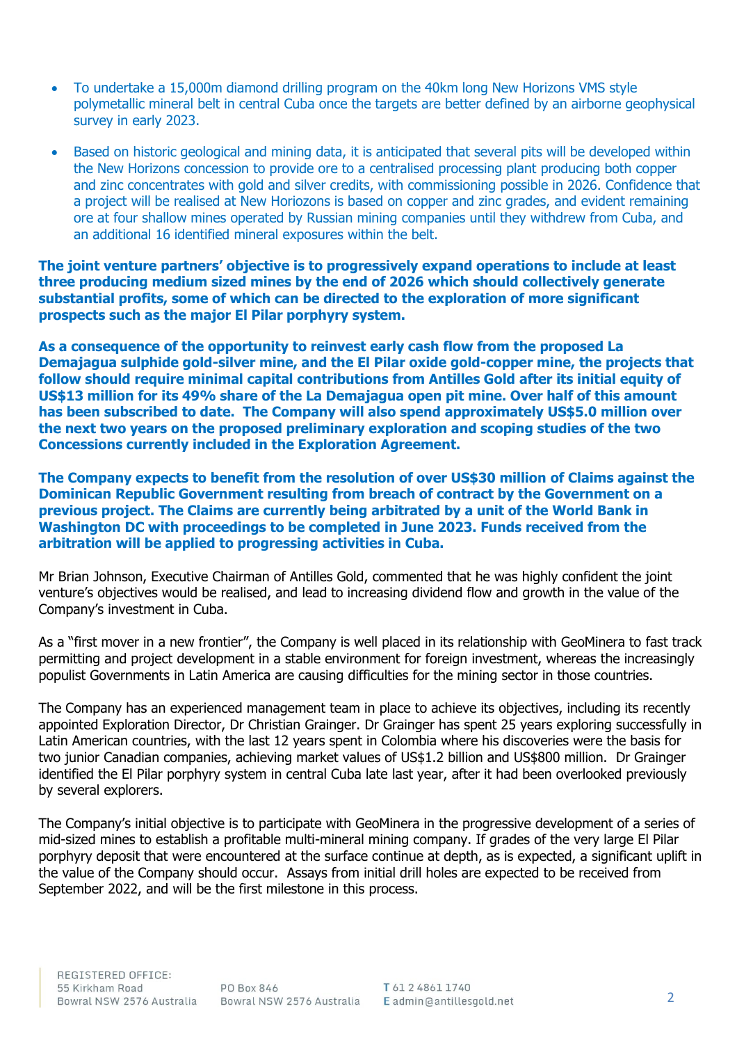- To undertake a 15,000m diamond drilling program on the 40km long New Horizons VMS style polymetallic mineral belt in central Cuba once the targets are better defined by an airborne geophysical survey in early 2023.
- Based on historic geological and mining data, it is anticipated that several pits will be developed within the New Horizons concession to provide ore to a centralised processing plant producing both copper and zinc concentrates with gold and silver credits, with commissioning possible in 2026. Confidence that a project will be realised at New Horiozons is based on copper and zinc grades, and evident remaining ore at four shallow mines operated by Russian mining companies until they withdrew from Cuba, and an additional 16 identified mineral exposures within the belt.

**The joint venture partners' objective is to progressively expand operations to include at least three producing medium sized mines by the end of 2026 which should collectively generate substantial profits, some of which can be directed to the exploration of more significant prospects such as the major El Pilar porphyry system.**

**As a consequence of the opportunity to reinvest early cash flow from the proposed La Demajagua sulphide gold-silver mine, and the El Pilar oxide gold-copper mine, the projects that follow should require minimal capital contributions from Antilles Gold after its initial equity of US\$13 million for its 49% share of the La Demajagua open pit mine. Over half of this amount has been subscribed to date. The Company will also spend approximately US\$5.0 million over the next two years on the proposed preliminary exploration and scoping studies of the two Concessions currently included in the Exploration Agreement.**

**The Company expects to benefit from the resolution of over US\$30 million of Claims against the Dominican Republic Government resulting from breach of contract by the Government on a previous project. The Claims are currently being arbitrated by a unit of the World Bank in Washington DC with proceedings to be completed in June 2023. Funds received from the arbitration will be applied to progressing activities in Cuba.**

Mr Brian Johnson, Executive Chairman of Antilles Gold, commented that he was highly confident the joint venture's objectives would be realised, and lead to increasing dividend flow and growth in the value of the Company's investment in Cuba.

As a "first mover in a new frontier", the Company is well placed in its relationship with GeoMinera to fast track permitting and project development in a stable environment for foreign investment, whereas the increasingly populist Governments in Latin America are causing difficulties for the mining sector in those countries.

The Company has an experienced management team in place to achieve its objectives, including its recently appointed Exploration Director, Dr Christian Grainger. Dr Grainger has spent 25 years exploring successfully in Latin American countries, with the last 12 years spent in Colombia where his discoveries were the basis for two junior Canadian companies, achieving market values of US\$1.2 billion and US\$800 million. Dr Grainger identified the El Pilar porphyry system in central Cuba late last year, after it had been overlooked previously by several explorers.

The Company's initial objective is to participate with GeoMinera in the progressive development of a series of mid-sized mines to establish a profitable multi-mineral mining company. If grades of the very large El Pilar porphyry deposit that were encountered at the surface continue at depth, as is expected, a significant uplift in the value of the Company should occur. Assays from initial drill holes are expected to be received from September 2022, and will be the first milestone in this process.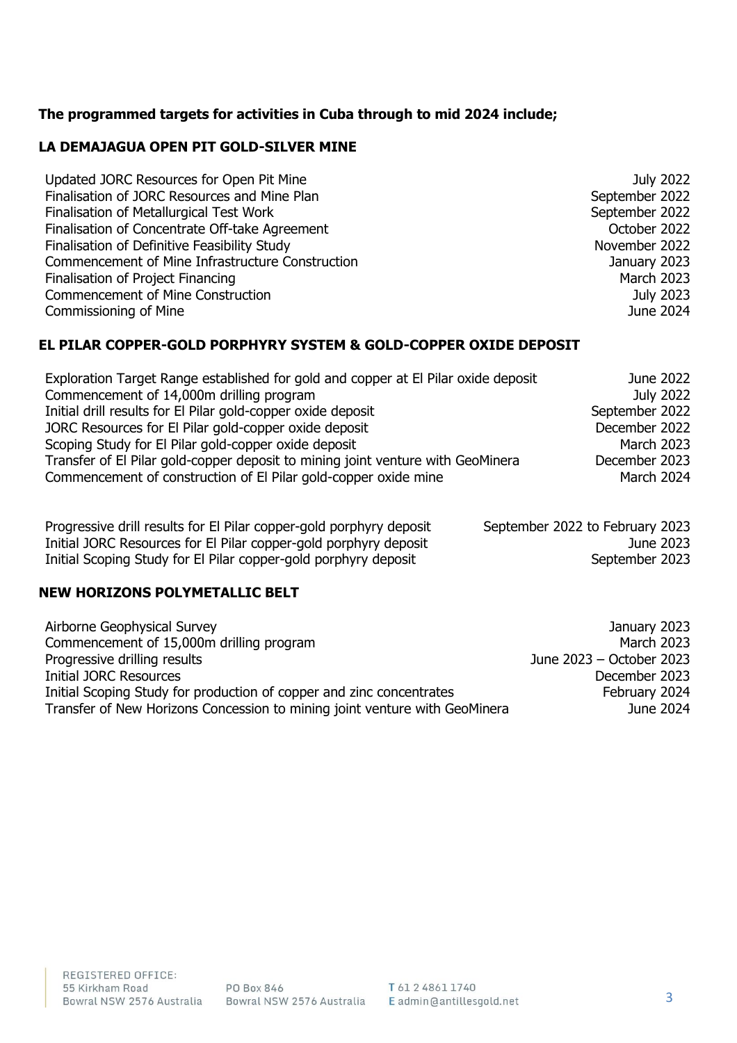## **The programmed targets for activities in Cuba through to mid 2024 include;**

## **LA DEMAJAGUA OPEN PIT GOLD-SILVER MINE**

| Updated JORC Resources for Open Pit Mine         | July 2022         |
|--------------------------------------------------|-------------------|
| Finalisation of JORC Resources and Mine Plan     | September 2022    |
| Finalisation of Metallurgical Test Work          | September 2022    |
| Finalisation of Concentrate Off-take Agreement   | October 2022      |
| Finalisation of Definitive Feasibility Study     | November 2022     |
| Commencement of Mine Infrastructure Construction | January 2023      |
| Finalisation of Project Financing                | <b>March 2023</b> |
| <b>Commencement of Mine Construction</b>         | July 2023         |
| Commissioning of Mine                            | June 2024         |

## **EL PILAR COPPER-GOLD PORPHYRY SYSTEM & GOLD-COPPER OXIDE DEPOSIT**

| Exploration Target Range established for gold and copper at El Pilar oxide deposit | June 2022         |
|------------------------------------------------------------------------------------|-------------------|
| Commencement of 14,000m drilling program                                           | July 2022         |
| Initial drill results for El Pilar gold-copper oxide deposit                       | September 2022    |
| JORC Resources for El Pilar gold-copper oxide deposit                              | December 2022     |
| Scoping Study for El Pilar gold-copper oxide deposit                               | <b>March 2023</b> |
| Transfer of El Pilar gold-copper deposit to mining joint venture with GeoMinera    | December 2023     |
| Commencement of construction of El Pilar gold-copper oxide mine                    | March 2024        |

| Progressive drill results for El Pilar copper-gold porphyry deposit | September 2022 to February 2023 |
|---------------------------------------------------------------------|---------------------------------|
| Initial JORC Resources for El Pilar copper-gold porphyry deposit    | June 2023                       |
| Initial Scoping Study for El Pilar copper-gold porphyry deposit     | September 2023                  |

## **NEW HORIZONS POLYMETALLIC BELT**

| Airborne Geophysical Survey                                                | January 2023             |
|----------------------------------------------------------------------------|--------------------------|
| Commencement of 15,000m drilling program                                   | <b>March 2023</b>        |
| Progressive drilling results                                               | June 2023 - October 2023 |
| Initial JORC Resources                                                     | December 2023            |
| Initial Scoping Study for production of copper and zinc concentrates       | February 2024            |
| Transfer of New Horizons Concession to mining joint venture with GeoMinera | June 2024                |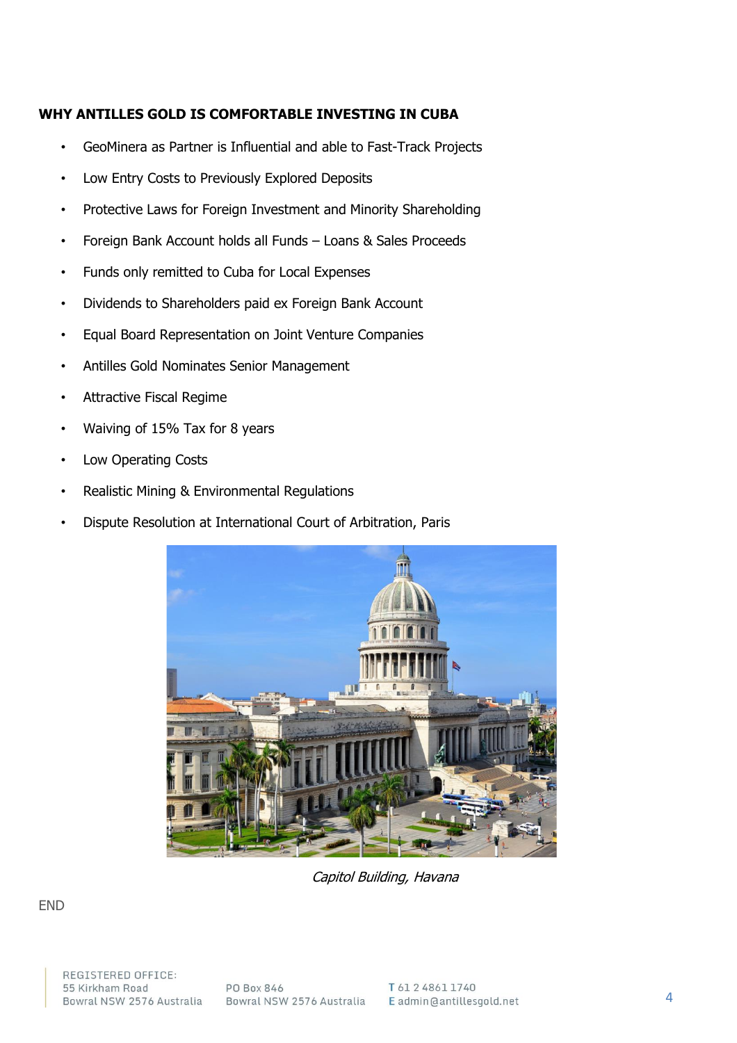## **WHY ANTILLES GOLD IS COMFORTABLE INVESTING IN CUBA**

- GeoMinera as Partner is Influential and able to Fast-Track Projects
- Low Entry Costs to Previously Explored Deposits
- Protective Laws for Foreign Investment and Minority Shareholding
- Foreign Bank Account holds all Funds Loans & Sales Proceeds
- Funds only remitted to Cuba for Local Expenses
- Dividends to Shareholders paid ex Foreign Bank Account
- Equal Board Representation on Joint Venture Companies
- Antilles Gold Nominates Senior Management
- Attractive Fiscal Regime
- Waiving of 15% Tax for 8 years
- Low Operating Costs
- Realistic Mining & Environmental Regulations
- Dispute Resolution at International Court of Arbitration, Paris



Capitol Building, Havana

END